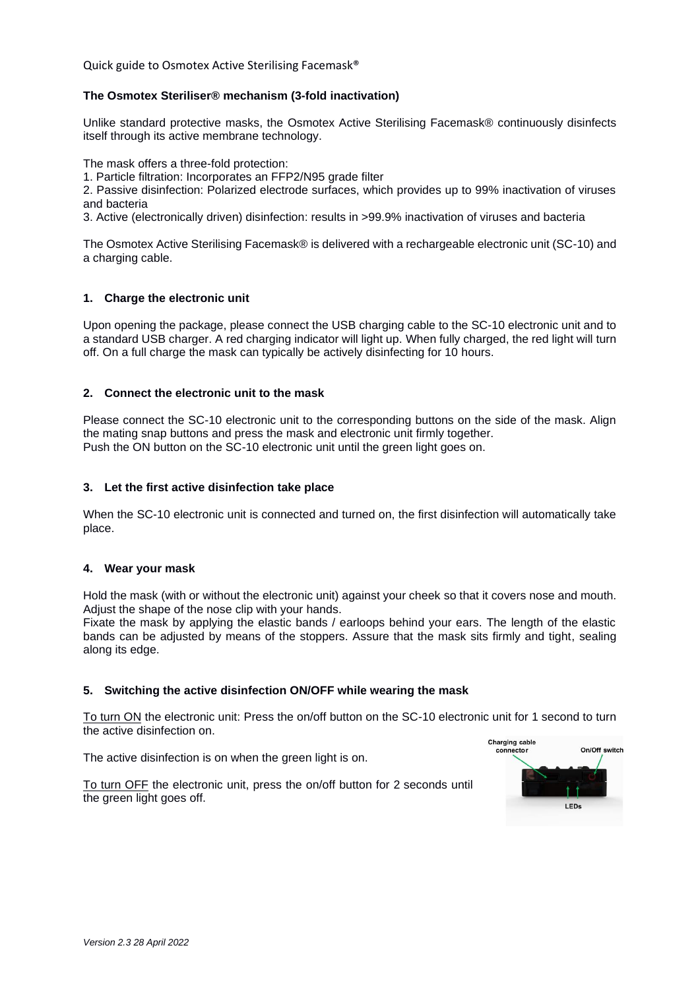Quick guide to Osmotex Active Sterilising Facemask®

# **The Osmotex Steriliser® mechanism (3-fold inactivation)**

Unlike standard protective masks, the Osmotex Active Sterilising Facemask® continuously disinfects itself through its active membrane technology.

The mask offers a three-fold protection:

1. Particle filtration: Incorporates an FFP2/N95 grade filter

2. Passive disinfection: Polarized electrode surfaces, which provides up to 99% inactivation of viruses and bacteria

3. Active (electronically driven) disinfection: results in >99.9% inactivation of viruses and bacteria

The Osmotex Active Sterilising Facemask® is delivered with a rechargeable electronic unit (SC-10) and a charging cable.

# **1. Charge the electronic unit**

Upon opening the package, please connect the USB charging cable to the SC-10 electronic unit and to a standard USB charger. A red charging indicator will light up. When fully charged, the red light will turn off. On a full charge the mask can typically be actively disinfecting for 10 hours.

### **2. Connect the electronic unit to the mask**

Please connect the SC-10 electronic unit to the corresponding buttons on the side of the mask. Align the mating snap buttons and press the mask and electronic unit firmly together. Push the ON button on the SC-10 electronic unit until the green light goes on.

### **3. Let the first active disinfection take place**

When the SC-10 electronic unit is connected and turned on, the first disinfection will automatically take place.

### **4. Wear your mask**

Hold the mask (with or without the electronic unit) against your cheek so that it covers nose and mouth. Adjust the shape of the nose clip with your hands.

Fixate the mask by applying the elastic bands / earloops behind your ears. The length of the elastic bands can be adjusted by means of the stoppers. Assure that the mask sits firmly and tight, sealing along its edge.

### **5. Switching the active disinfection ON/OFF while wearing the mask**

To turn ON the electronic unit: Press the on/off button on the SC-10 electronic unit for 1 second to turn the active disinfection on.

The active disinfection is on when the green light is on.



To turn OFF the electronic unit, press the on/off button for 2 seconds until the green light goes off.